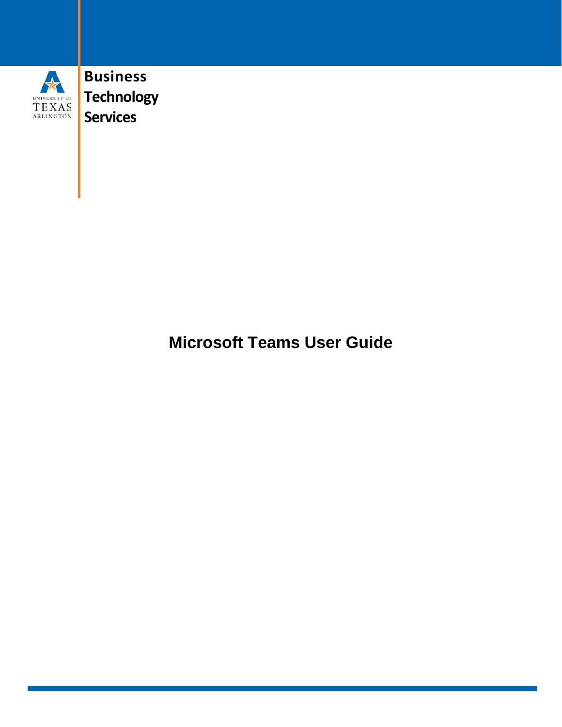

**Business Technology Services**

**Microsoft Teams User Guide**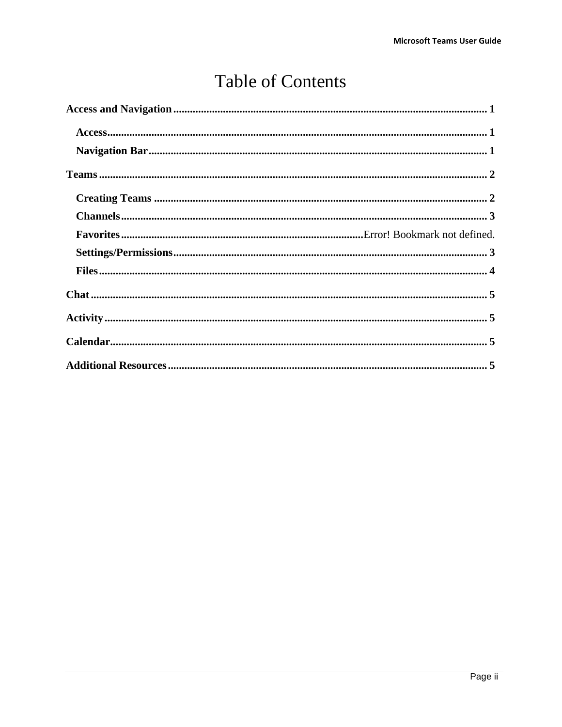# **Table of Contents**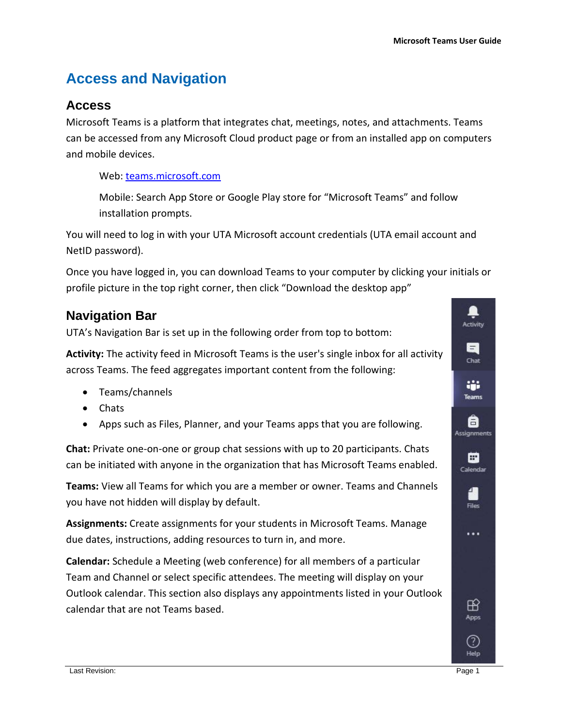## <span id="page-2-0"></span>**Access and Navigation**

#### <span id="page-2-1"></span>**Access**

Microsoft Teams is a platform that integrates chat, meetings, notes, and attachments. Teams can be accessed from any Microsoft Cloud product page or from an installed app on computers and mobile devices.

Web: [teams.microsoft.com](https://teams.microsoft.com/)

Mobile: Search App Store or Google Play store for "Microsoft Teams" and follow installation prompts.

You will need to log in with your UTA Microsoft account credentials (UTA email account and NetID password).

Once you have logged in, you can download Teams to your computer by clicking your initials or profile picture in the top right corner, then click "Download the desktop app"

#### <span id="page-2-2"></span>**Navigation Bar**

UTA's Navigation Bar is set up in the following order from top to bottom:

**Activity:** The activity feed in Microsoft Teams is the user's single inbox for all activity across Teams. The feed aggregates important content from the following:

- Teams/channels
- Chats
- Apps such as Files, Planner, and your Teams apps that you are following.

**Chat:** Private one-on-one or group chat sessions with up to 20 participants. Chats can be initiated with anyone in the organization that has Microsoft Teams enabled.

**Teams:** View all Teams for which you are a member or owner. Teams and Channels you have not hidden will display by default.

**Assignments:** Create assignments for your students in Microsoft Teams. Manage due dates, instructions, adding resources to turn in, and more.

**Calendar:** Schedule a Meeting (web conference) for all members of a particular Team and Channel or select specific attendees. The meeting will display on your Outlook calendar. This section also displays any appointments listed in your Outlook calendar that are not Teams based.

Activity

E Chat

æ **Teams** 

A **Assignments** 

> m Calendar

> > Files

. . .

⊞ Apps

 $(?)$ Help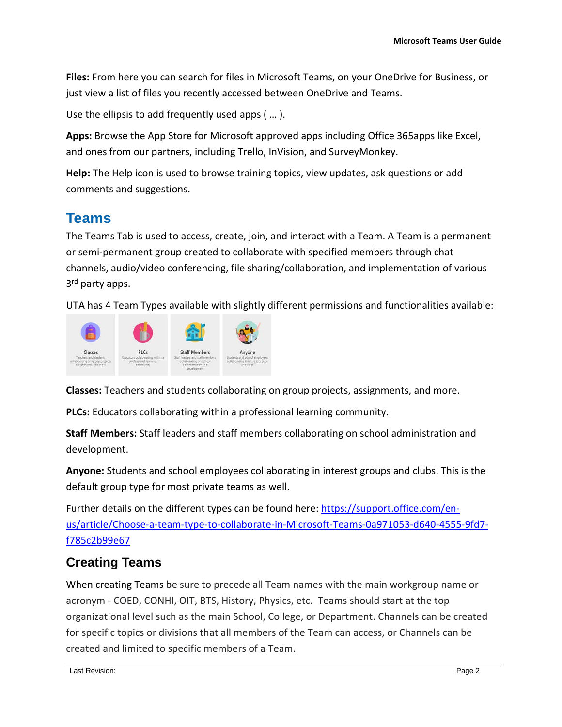**Files:** From here you can search for files in Microsoft Teams, on your OneDrive for Business, or just view a list of files you recently accessed between OneDrive and Teams.

Use the ellipsis to add frequently used apps ( … ).

**Apps:** Browse the App Store for Microsoft approved apps including Office 365apps like Excel, and ones from our partners, including Trello, InVision, and SurveyMonkey.

**Help:** The Help icon is used to browse training topics, view updates, ask questions or add comments and suggestions.

### <span id="page-3-0"></span>**Teams**

The Teams Tab is used to access, create, join, and interact with a Team. A Team is a permanent or semi-permanent group created to collaborate with specified members through chat channels, audio/video conferencing, file sharing/collaboration, and implementation of various 3<sup>rd</sup> party apps.

UTA has 4 Team Types available with slightly different permissions and functionalities available:



**Classes:** Teachers and students collaborating on group projects, assignments, and more.

**PLCs:** Educators collaborating within a professional learning community.

**Staff Members:** Staff leaders and staff members collaborating on school administration and development.

**Anyone:** Students and school employees collaborating in interest groups and clubs. This is the default group type for most private teams as well.

Further details on the different types can be found here: [https://support.office.com/en](https://support.office.com/en-us/article/Choose-a-team-type-to-collaborate-in-Microsoft-Teams-0a971053-d640-4555-9fd7-f785c2b99e67)[us/article/Choose-a-team-type-to-collaborate-in-Microsoft-Teams-0a971053-d640-4555-9fd7](https://support.office.com/en-us/article/Choose-a-team-type-to-collaborate-in-Microsoft-Teams-0a971053-d640-4555-9fd7-f785c2b99e67) [f785c2b99e67](https://support.office.com/en-us/article/Choose-a-team-type-to-collaborate-in-Microsoft-Teams-0a971053-d640-4555-9fd7-f785c2b99e67)

#### <span id="page-3-1"></span>**Creating Teams**

When creating Teams be sure to precede all Team names with the main workgroup name or acronym - COED, CONHI, OIT, BTS, History, Physics, etc. Teams should start at the top organizational level such as the main School, College, or Department. Channels can be created for specific topics or divisions that all members of the Team can access, or Channels can be created and limited to specific members of a Team.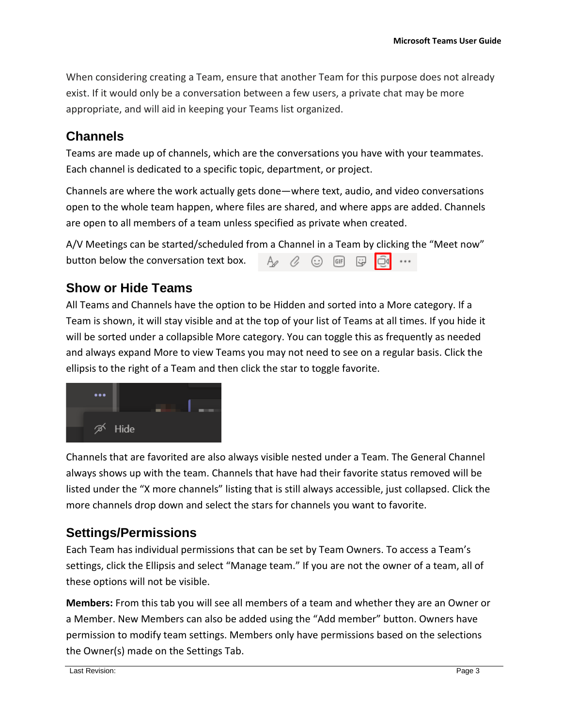When considering creating a Team, ensure that another Team for this purpose does not already exist. If it would only be a conversation between a few users, a private chat may be more appropriate, and will aid in keeping your Teams list organized.

#### <span id="page-4-0"></span>**Channels**

Teams are made up of channels, which are the conversations you have with your teammates. Each channel is dedicated to a specific topic, department, or project.

Channels are where the work actually gets done—where text, audio, and video conversations open to the whole team happen, where files are shared, and where apps are added. Channels are open to all members of a team unless specified as private when created.

A/V Meetings can be started/scheduled from a Channel in a Team by clicking the "Meet now" button below the conversation text box.  $A \otimes C$  or 문

#### **Show or Hide Teams**

All Teams and Channels have the option to be Hidden and sorted into a More category. If a Team is shown, it will stay visible and at the top of your list of Teams at all times. If you hide it will be sorted under a collapsible More category. You can toggle this as frequently as needed and always expand More to view Teams you may not need to see on a regular basis. Click the ellipsis to the right of a Team and then click the star to toggle favorite.



Channels that are favorited are also always visible nested under a Team. The General Channel always shows up with the team. Channels that have had their favorite status removed will be listed under the "X more channels" listing that is still always accessible, just collapsed. Click the more channels drop down and select the stars for channels you want to favorite.

### <span id="page-4-1"></span>**Settings/Permissions**

Each Team has individual permissions that can be set by Team Owners. To access a Team's settings, click the Ellipsis and select "Manage team." If you are not the owner of a team, all of these options will not be visible.

**Members:** From this tab you will see all members of a team and whether they are an Owner or a Member. New Members can also be added using the "Add member" button. Owners have permission to modify team settings. Members only have permissions based on the selections the Owner(s) made on the Settings Tab.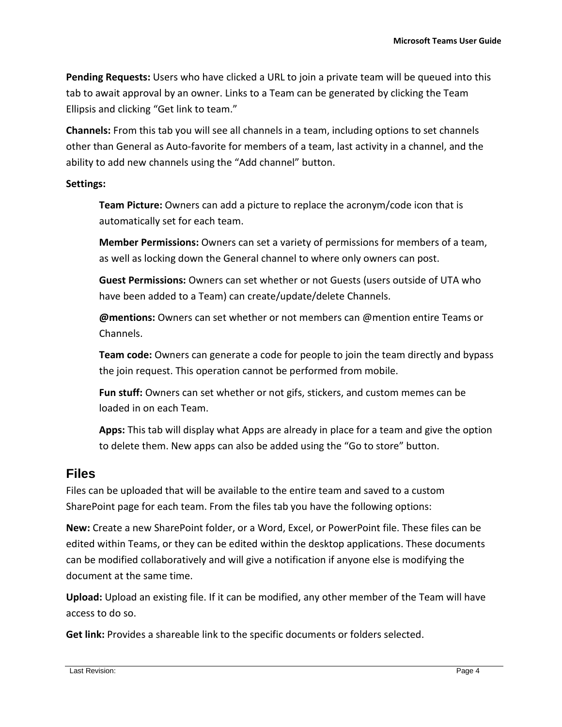**Pending Requests:** Users who have clicked a URL to join a private team will be queued into this tab to await approval by an owner. Links to a Team can be generated by clicking the Team Ellipsis and clicking "Get link to team."

**Channels:** From this tab you will see all channels in a team, including options to set channels other than General as Auto-favorite for members of a team, last activity in a channel, and the ability to add new channels using the "Add channel" button.

#### **Settings:**

**Team Picture:** Owners can add a picture to replace the acronym/code icon that is automatically set for each team.

**Member Permissions:** Owners can set a variety of permissions for members of a team, as well as locking down the General channel to where only owners can post.

**Guest Permissions:** Owners can set whether or not Guests (users outside of UTA who have been added to a Team) can create/update/delete Channels.

**@mentions:** Owners can set whether or not members can @mention entire Teams or Channels.

**Team code:** Owners can generate a code for people to join the team directly and bypass the join request. This operation cannot be performed from mobile.

**Fun stuff:** Owners can set whether or not gifs, stickers, and custom memes can be loaded in on each Team.

**Apps:** This tab will display what Apps are already in place for a team and give the option to delete them. New apps can also be added using the "Go to store" button.

#### <span id="page-5-0"></span>**Files**

Files can be uploaded that will be available to the entire team and saved to a custom SharePoint page for each team. From the files tab you have the following options:

**New:** Create a new SharePoint folder, or a Word, Excel, or PowerPoint file. These files can be edited within Teams, or they can be edited within the desktop applications. These documents can be modified collaboratively and will give a notification if anyone else is modifying the document at the same time.

**Upload:** Upload an existing file. If it can be modified, any other member of the Team will have access to do so.

**Get link:** Provides a shareable link to the specific documents or folders selected.